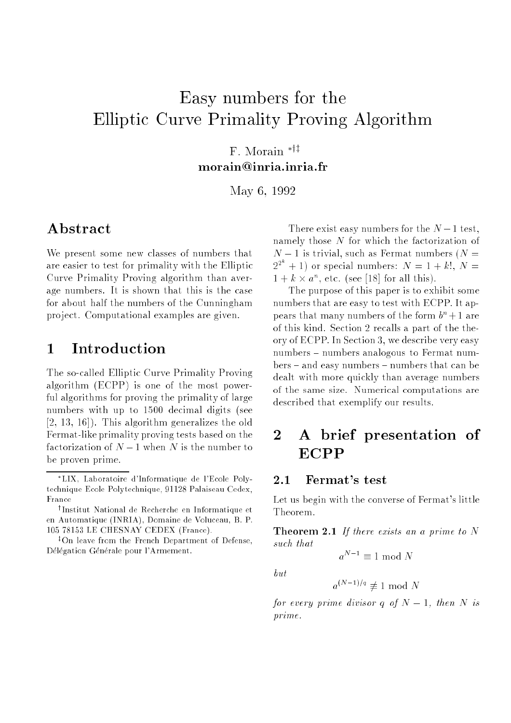# Easy numbers for the Elliptic Curve Primality Proving Algorithm

F. Morain  $*$ <sup>† $\ddagger$ </sup> morain@inria.inria.fr

May 6, <sup>1992</sup>

## Abstract

We present some new classes of numbers that are easier to test for primality with the Elliptic Curve Primality Proving algorithm than average numbers. It is shown that this is the case for about half the numbers of the Cunningham pro ject. Computational examples are given.

## 1 Introduction

The so-called Elliptic Curve Primality Proving algorithm (ECPP) is one of the most powerful algorithms for proving the primality of large numbers with up to 1500 decimal digits (see [2, 13, 16]). This algorithm generalizes the old Fermat-like primality proving tests based on the factorization of  $N-1$  when N is the number to be proven prime.

There exist easy numbers for the  $N-1$  test, namely those N for which the factorization of  $N-1$  is trivial, such as Fermat numbers ( $N=$  $2^{2^{n}}+1$  or special numbers:  $N=1+k!$ ,  $N=$  $1 + k \times a^n$ , etc. (see [18] for all this).

The purpose of this paper is to exhibit some numbers that are easy to test with ECPP. It appears that many numbers of the form  $b^n+1$  are of this kind. Section 2 recalls a part of the theory of ECPP. In Section 3, we describe very easy numbers - numbers analogous to Fermat num $bers - and easy numbers - numbers that can be$ dealt with more quickly than average numbers of the same size. Numerical computations are described that exemplify our results.

## 2 A brief presentation of ECPP

#### Fermat's test  $2.1$

Let us begin with the converse of Fermat's little Theorem.

**Theorem 2.1** If there exists an a prime to  $N$ such that

$$
a^{N-1} \equiv 1 \bmod N
$$

 $but$ 

 $a^{(N-1)/q} \not\equiv 1 \bmod N$ 

for every prime divisor q of  $N-1$ , then N is prime.

LIX, Laboratoire d'Informatique de l'Ecole Polytechnique Ecole Polytechnique, 91128 Palaiseau Cedex, France

<sup>y</sup> Institut National de Recherche en Informatique et en Automatique (INRIA), Domaine de Voluceau, B. P. 105 78153 LE CHESNAY CEDEX (France).

<sup>&</sup>lt;sup>‡</sup>On leave from the French Department of Defense, Délégation Générale pour l'Armement.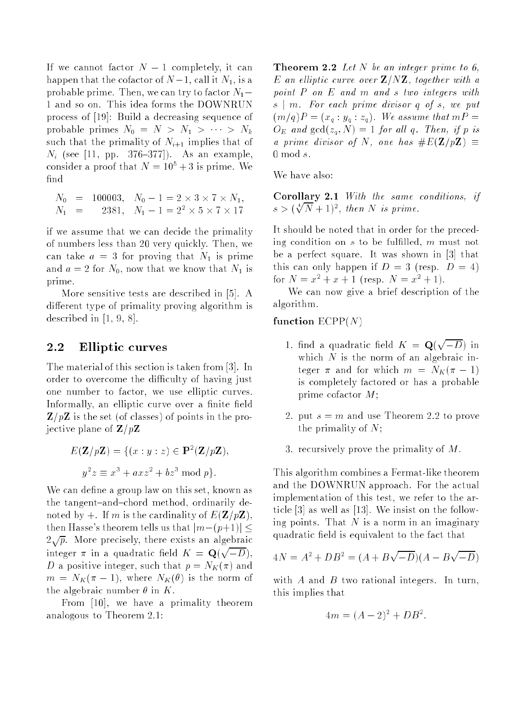If we cannot factor  $N-1$  completely, it can happen that the cofactor of  $N-1$ , call it  $N_1$ , is a probable prime. Then, we can try to factor  $N_1$  – 1 and so on. This idea forms the DOWNRUN process of [19]: Build a decreasing sequence of probable primes  $N_0 = N > N_1 > \cdots > N_k$ such that the primality of  $N_{i+1}$  implies that of  $N_i$  (see [11, pp. 376-377]). As an example, consider a proof that  $N = 10^5 + 3$  is prime. We find

$$
N_0 = 100003, N_0 - 1 = 2 \times 3 \times 7 \times N_1,
$$
  
\n
$$
N_1 = 2381, N_1 - 1 = 2^2 \times 5 \times 7 \times 17
$$

if we assume that we can decide the primality of numbers less than 20 very quickly. Then, we can take  $a = 3$  for proving that  $N_1$  is prime and  $a = 2$  for  $N_0$ , now that we know that  $N_1$  is prime.

More sensitive tests are described in [5]. A different type of primality proving algorithm is described in [1, 9, 8].

#### 2.2Elliptic curves

The material of this section is taken from [3]. In order to overcome the difficulty of having just one number to factor, we use elliptic curves. Informally, an elliptic curve over a finite field  $\mathbf{Z}/p\mathbf{Z}$  is the set (of classes) of points in the projective plane of  $\mathbf{Z}/p\mathbf{Z}$ 

$$
E(\mathbf{Z}/p\mathbf{Z}) = \{(x : y : z) \in \mathbf{P}^2(\mathbf{Z}/p\mathbf{Z}),
$$
  

$$
y^2 z \equiv x^3 + a x z^2 + b z^3 \mod p\}.
$$

We can define a group law on this set, known as the tangent-and-chord method, ordinarily denoted by  $+$ . If m is the cardinality of  $E(\mathbf{Z}/p\mathbf{Z}),$ then Hasse's theorem tells us that  $|m-(p+1)| \leq$  $2\sqrt{p}$ . More precisely, there exists an algebraic integer  $\pi$  in a quadratic field  $K = \mathbf{Q}(\sqrt{-D}).$ D a positive integer, such that  $p = N_K(\pi)$  and  $m = N_K(\pi - 1)$ , where  $N_K(\theta)$  is the norm of the algebraic number  $\theta$  in K.

From [10], we have a primality theorem analogous to Theorem 2.1:

**Theorem 2.2** Let N be an integer prime to 6, E an elliptic curve over  $\mathbf{Z}/N\mathbf{Z}$ , together with a point P on E and <sup>m</sup> and <sup>s</sup> two integers with s | m. For each prime divisor q of s, we put  $(m/q)P = (x_q : y_q : z_q)$ . We assume that  $mP =$  $O_E$  and  $gcd(z_q, N) = 1$  for all q. Then, if p is a prime divisor of N, one has  $\#E(\mathbf{Z}/p\mathbf{Z}) \equiv$  $0 \mod s$ .

We have also:

Corollary 2.1 With the same conditions, if  $s > (\sqrt[4]{N} + 1)^2$ , then N is prime.

It should be noted that in order for the preceding condition on  $s$  to be fulfilled,  $m$  must not be a perfect square. It was shown in [3] that this can only happen if  $D = 3$  (resp.  $D = 4$ ) for  $N = x^2 + x + 1$  (resp.  $N = x^2 + 1$ ).

We can now give a brief description of the algorithm.

### function  $ECPP(N)$

- 1. find a quadratic field  $K = \mathbf{Q}(\sqrt{-D})$  in which  $N$  is the norm of an algebraic integer  $\pi$  and for which  $m = N_K(\pi - 1)$ is completely factored or has a probable prime cofactor M;
- 2. put  $s = m$  and use Theorem 2.2 to prove the primality of N;
- 3. recursively prove the primality of M.

This algorithm combines a Fermat-like theorem and the DOWNRUN approach. For the actual implementation of this test, we refer to the article [3] as well as [13]. We insist on the following points. That  $N$  is a norm in an imaginary quadratic field is equivalent to the fact that

$$
4N = A^2 + DB^2 = (A + B\sqrt{-D})(A - B\sqrt{-D})
$$

with  $A$  and  $B$  two rational integers. In turn, this implies that

$$
4m = (A-2)^2 + DB^2.
$$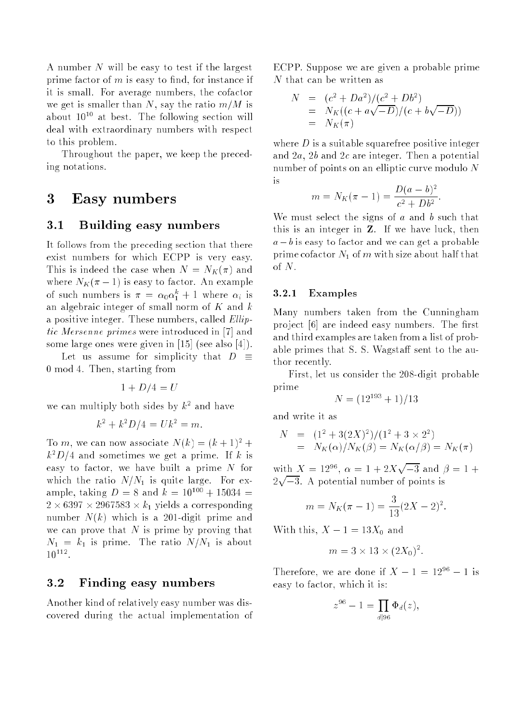A number N will be easy to test if the largest prime factor of  $m$  is easy to find, for instance if it is small. For average numbers, the cofactor we get is smaller than N, say the ratio  $m/M$  is about  $10^{10}$  at best. The following section will deal with extraordinary numbers with respect to this problem.

Throughout the paper, we keep the preceding notations.

## 3 Easy numbers

#### 3.1Building easy numbers

It follows from the preceding section that there exist numbers for which ECPP is very easy. This is indeed the case when  $N = N_K(\pi)$  and where  $N_K(\pi - 1)$  is easy to factor. An example of such numbers is  $\pi = \alpha_0 \alpha_1^2 + 1$  where  $\alpha_i$  is an algebraic integer of small norm of  $K$  and  $k$ a positive integer. These numbers, called Elliptic Mersenne primes were introduced in [7] and some large ones were given in [15] (see also [4]).

Let us assume for simplicity that  $D \equiv$ 0 mod 4. Then, starting from

$$
1 + D/4 = U
$$

we can multiply both sides by  $k^2$  and have

$$
k^2 + k^2 D/4 = U k^2 = m.
$$

To m, we can now associate  $N(k) = (k+1)^2 +$  $k^2D/4$  and sometimes we get a prime. If k is easy to factor, we have built a prime  $N$  for which the ratio  $N/N_1$  is quite large. For example, taking  $D = 8$  and  $k = 10^{100} + 15034 =$  $2 \times 6397 \times 2967583 \times k_1$  yields a corresponding number  $N(k)$  which is a 201-digit prime and we can prove that  $N$  is prime by proving that  $N_1 = k_1$  is prime. The ratio  $N/N_1$  is about  $10^{112}$ .

#### $3.2$ Finding easy numbers

Another kind of relatively easy number was discovered during the actual implementation of ECPP. Suppose we are given a probable prime N that can be written as

$$
N = (c2 + Da2)/(c2 + Db2)
$$
  
=  $NK((c + a\sqrt{-D})/(c + b\sqrt{-D}))$   
=  $NK(\pi)$ 

where  $D$  is a suitable squarefree positive integer and 2a, 2b and 2<sup>c</sup> are integer. Then a potential number of points on an elliptic curve modulo N is

$$
m = N_K(\pi - 1) = \frac{D(a - b)^2}{c^2 + Db^2}
$$

:

We must select the signs of  $a$  and  $b$  such that this is an integer in Z. If we have luck, then  $a - b$  is easy to factor and we can get a probable prime cofactor  $N_1$  of m with size about half that of N.

#### 3.2.1 Examples

Many numbers taken from the Cunningham project [6] are indeed easy numbers. The first and third examples are taken from a list of probable primes that S. S. Wagstaff sent to the author recently.

First, let us consider the 208-digit probable prime

$$
N = (12^{193} + 1)/13
$$

and write it as

$$
N = (12 + 3(2X)2)/(12 + 3 × 22)
$$
  
=  $N_K(\alpha)/N_K(\beta) = N_K(\alpha/\beta) = N_K(\pi)$ 

with  $X = 12^{96}$ ,  $\alpha = 1 + 2X\sqrt{-3}$  and  $\beta = 1 +$ <u>para a para a para a para a para a para a para a para a para a para a para a para a para a para a para a para a para a para a para a para a para a para a para a para a para a para a para a para a para a para a para a para</u> 3. A potential number of points is

$$
m = N_K(\pi - 1) = \frac{3}{13}(2X - 2)^2.
$$

With this,  $X - 1 = 13X_0$  and

$$
m = 3 \times 13 \times (2X_0)^2.
$$

Therefore, we are done if  $X - 1 = 12^{96} - 1$  is easy to factor, which it is:

$$
z^{96} - 1 = \prod_{d|96} \Phi_d(z),
$$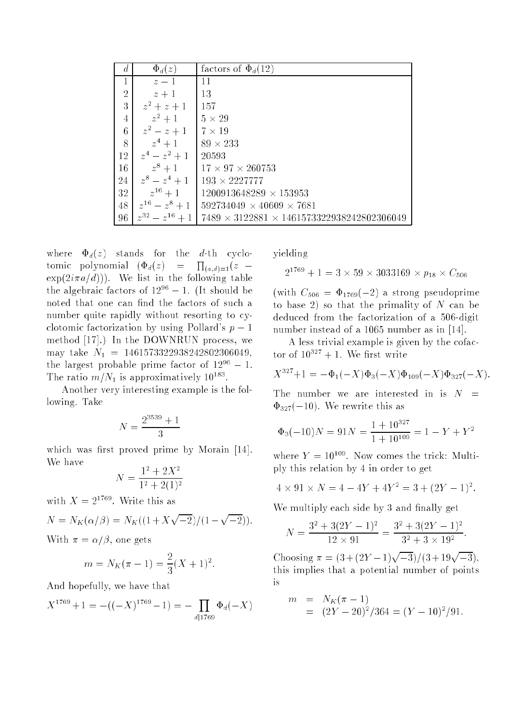|                | $\Phi_d(z)$         | factors of $\Phi_d(12)$                                |
|----------------|---------------------|--------------------------------------------------------|
| 1              | $z-1$               | 11                                                     |
| $\overline{2}$ | $z+1$               | 13                                                     |
| 3              | $z^2 + z + 1$       | 157                                                    |
| 4              | $z^2+1$             | $5 \times 29$                                          |
| 6              | $z^2 - z + 1$       | $7 \times 19$                                          |
| 8              | $z^4+1$             | $89 \times 233$                                        |
| 12             | $z^4 - z^2 + 1$     | 20593                                                  |
| 16             | $z^8+1$             | $17 \times 97 \times 260753$                           |
| 24             | $z^8 - z^4 + 1$     | $193 \times 2227777$                                   |
| 32             | $z^{16}+1$          | $1200913648289 \times 153953$                          |
| 48             | $z^{16} - z^8 + 1$  | $592734049 \times 40609 \times 7681$                   |
| 96             | $z^{32} - z^{16} +$ | $7489 \times 3122881 \times 1461573322938242802306049$ |

where  $\Phi_d(z)$  stands for the d-th cyclotomic polynomial  $(\Phi_d(z)) = \prod_{(a,d)=1}(z \exp(2i\pi a/d))$ . We list in the following table the algebraic factors of  $12^{96} - 1$ . (It should be noted that one can find the factors of such a number quite rapidly without resorting to cyclotomic factorization by using Pollard's  $p-1$ method [17].) In the DOWNRUN process, we may take  $N_1 = 1461573322938242802306049$ , the largest probable prime factor of  $12^{96} - 1$ . The ratio  $m/N_1$  is approximatively  $10^{183}$ .

Another very interesting example is the following. Take

$$
N = \frac{2^{3539} + 1}{3}
$$

which was first proved prime by Morain  $[14]$ . We have

$$
N = \frac{1^2 + 2X^2}{1^2 + 2(1)^2}
$$

with  $X = 2^{1769}$ . Write this as

$$
N = N_K(\alpha/\beta) = N_K((1 + X\sqrt{-2})/(1 - \sqrt{-2})).
$$

With  $\pi = \alpha/\beta$ , one gets

$$
m = N_K(\pi - 1) = \frac{2}{3}(X + 1)^2.
$$

And hopefully, we have that

$$
X^{1769} + 1 = -((-X)^{1769} - 1) = -\prod_{d|1769} \Phi_d(-X)
$$

yielding

$$
2^{1769}+1=3\times 59\times 3033169\times p_{18}\times C_{506}
$$

(with  $C_{506} = \Phi_{1769}(-2)$  a strong pseudoprime to base 2) so that the primality of  $N$  can be deduced from the factorization of a 506-digit number instead of a 1065 number as in [14].

A less trivial example is given by the cofactor of  $10^{327} + 1$ . We first write

$$
X^{327} + 1 = -\Phi_1(-X)\Phi_3(-X)\Phi_{109}(-X)\Phi_{327}(-X).
$$

The number we are interested in is  $N =$  $\Phi_{327}(-10)$ . We rewrite this as

$$
\Phi_3(-10)N = 91N = \frac{1 + 10^{327}}{1 + 10^{109}} = 1 - Y + Y^2
$$

where  $Y = 10^{109}$ . Now comes the trick: Multiply this relation by 4 in order to get

$$
4 \times 91 \times N = 4 - 4Y + 4Y^2 = 3 + (2Y - 1)^2.
$$

We multiply each side by 3 and finally get

$$
N = \frac{3^2 + 3(2Y - 1)^2}{12 \times 91} = \frac{3^2 + 3(2Y - 1)^2}{3^2 + 3 \times 19^2}
$$

:

Choosing  $\pi = (3 + (2Y - 1)\sqrt{-3})/(3 + 19\sqrt{-3}),$ this implies that a potential number of points is

$$
m = N_K(\pi - 1)
$$
  
=  $(2Y - 20)^2/364 = (Y - 10)^2/91.$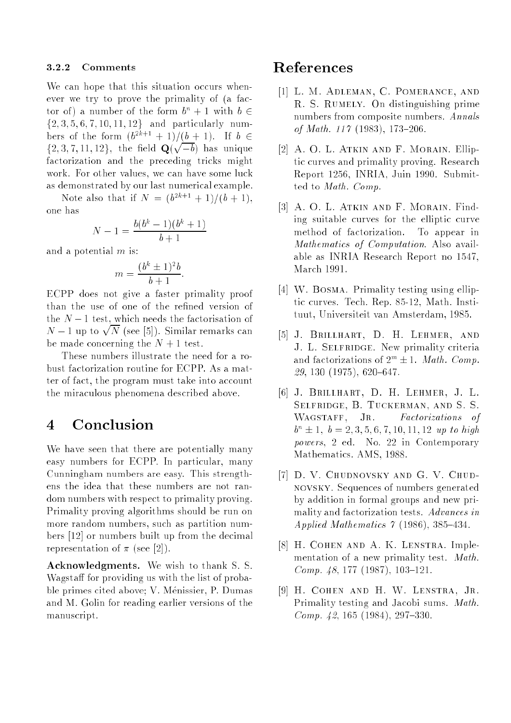#### 3.2.2 Comments

We can hope that this situation occurs whenever we try to prove the primality of (a factor of) a number of the form  $b^n + 1$  with  $b \in$  $\{2, 3, 5, 6, 7, 10, 11, 12\}$  and particularly numbers of the form  $(b^{2k+1} + 1)/(b + 1)$ . If  $b \in$ f2; 3; 7; 11; 12g, the eld Q(  $\sqrt{-b}$  has unique factorization and the preceding tricks might work. For other values, we can have some luck as demonstrated by our last numerical example.

Note also that if  $N = (b^{2k+1} + 1)/(b + 1)$ , one has

$$
N - 1 = \frac{b(b^k - 1)(b^k + 1)}{b + 1}
$$

and a potential m is:

$$
m = \frac{(b^k \pm 1)^2 b}{b+1}
$$

:

ECPP does not give a faster primality proof than the use of one of the refined version of the  $N-1$  test, which needs the factorisation of  $N-1$  up to  $\sqrt{N}$  (see [5]). Similar remarks can be made concerning the  $N + 1$  test.

These numbers illustrate the need for a robust factorization routine for ECPP. As a matter of fact, the program must take into account the miraculous phenomena described above.

### 4 Conclusion

We have seen that there are potentially many easy numbers for ECPP. In particular, many Cunningham numbers are easy. This strengthens the idea that these numbers are not random numbers with respect to primality proving. Primality proving algorithms should be run on more random numbers, such as partition numbers [12] or numbers built up from the decimal representation of  $\pi$  (see [2]).

Acknowledgments. We wish to thank S. S. Wagstaff for providing us with the list of probable primes cited above; V. Menissier, P. Dumas and M. Golin for reading earlier versions of the manuscript.

### References

- [1] L. M. Adleman, C. Pomerance, and R. S. Rumely. On distinguishing prime numbers from composite numbers. Annals of Math.  $117$  (1983), 173-206.
- [2] A. O. L. Atkin and F. Morain. Elliptic curves and primality proving. Research Report 1256, INRIA, Juin 1990. Submitted to Math. Comp.
- [3] A. O. L. ATKIN AND F. MORAIN. Finding suitable curves for the elliptic curve method of factorization. To appear in Mathematics of Computation. Also available as INRIA Research Report no 1547, March 1991.
- [4] W. BOSMA. Primality testing using elliptic curves. Tech. Rep. 85-12, Math. Instituut, Universiteit van Amsterdam, 1985.
- [5] J. Brillhart, D. H. Lehmer, and J. L. SELFRIDGE. New primality criteria and factorizations of  $2^m \pm 1$ . Math. Comp.  $29, 130$  (1975), 620–647.
- [6] J. Brillhart, D. H. Lehmer, J. L. Selfridge, B. Tuckerman, and S. S. WAGSTAFF, JR. Factorizations of  $b^n \pm 1, b = 2, 3, 5, 6, 7, 10, 11, 12$  up to high powers, 2 ed. No. 22 in Contemporary Mathematics. AMS, 1988.
- [7] D. V. Chudnovsky and G. V. Chudnovsky. Sequences of numbers generated by addition in formal groups and new primality and factorization tests. Advances in Applied Mathematics  $\gamma$  (1986), 385-434.
- [8] H. Cohen and A. K. Lenstra. Implementation of a new primality test. Math. Comp.  $48, 177$  (1987), 103-121.
- [9] H. Cohen and H. W. Lenstra, Jr. Primality testing and Jacobi sums. Math. *Comp.* 42, 165 (1984), 297-330.